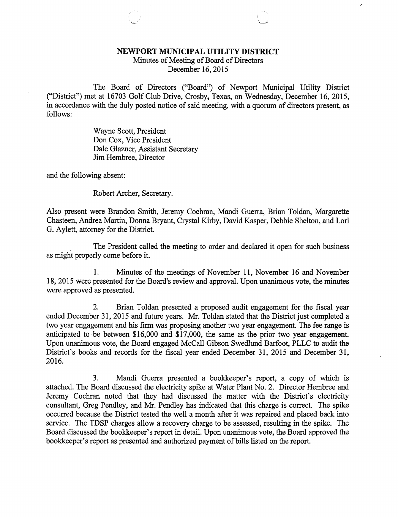## NEWPORT MUNICIPAL UTILITY DISTRICT

Minutes of Meeting of Board of Directors December 16, 2015

The Board of Directors ("Board") of Newport Municipal Utility District ("District") met at 16703 Golf Club Drive, Crosby, Texas, on Wednesday, December 16, 2015, in accordance with the duly posted notice of said meeting, with a quorum of directors present, as follows:

> Wayne Scott, President Don Cox, Vice President Dale Glazner, Assistant Secretary Jim Hembree, Director

and the following absent:

Robert Archer, Secretary.

Also present were Brandon Smith, Jeremy Cochran, Mandi Guerra, Brian Toldan, Margarette Chasteen, Andrea Martin, Donna Bryant, Crystal Kirby, David Kasper, Debbie Shelton, and Lori G. Aylett, attorney for the District.

The President called the meeting to order and declared it open for such business as might properly come before it.

1. Minutes of the meetings of November 11, November 16 and November 18, 2015 were presented for the Board's review and approval. Upon unanimous vote, the minutes were approved as presented.

2. Brian Toldan presented a proposed audit engagement for the fiscal year ended December 31, 2015 and future years. Mr. Toldan stated that the District just completed a two year engagement and his firm was proposing another two year engagement. The fee range is anticipated to be between \$16,000 and \$17,000, the same as the prior two year engagement. Upon unanimous vote, the Board engaged McCall Gibson Swedlund Barfoot, PLLC to audit the District's books and records for the fiscal year ended December 31, 2015 and December 31, 2016.

3. Mandi Guerra presented a bookkeeper's report, a copy of which is attached. The Board discussed the electricity spike at Water Plant No. 2. Director Hembree and Jeremy Cochran noted that they had discussed the matter with the District's electricity consultant, Greg Pendley, and Mr. Pendley has indicated that this charge is correct. The spike occurred because the District tested the well a month after it was repaired and placed back into service. The TDSP charges allow a recovery charge to be assessed, resulting in the spike. The Board discussed the bookkeeper's report in detail. Upon unanimous vote, the Board approved the bookkeeper's report as presented and authorized payment of bills listed on the report.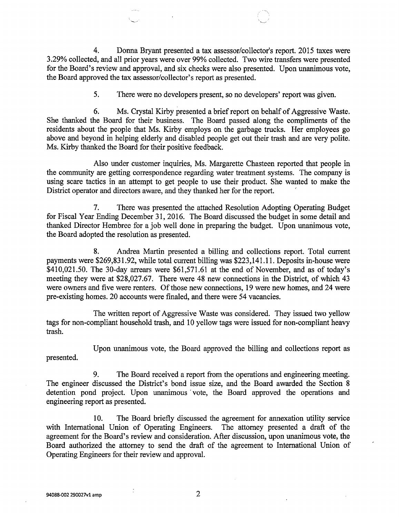4. Donna Bryant presented a tax assessor/collector's report. 2015 taxes were 3.29% collected, and all prior years were over 99% collected. Two wire transfers were presented for the Board's review and approval, and six checks were also presented. Upon unanimous vote, the Board approved the tax assessor/collector's report as presented.

5. There were no developers present, so no developers' report was given.

6. Ms. Crystal Kirby presented a brief report on behalf of Aggressive Waste. She thanked the Board for their business. The Board passed along the compliments of the residents about the people that Ms. Kirby employs on the garbage trucks. Her employees go above and beyond in helping elderly and disabled people get out their trash and are very polite. Ms. Kirby thanked the Board for their positive feedback.

Also under customer inquiries, Ms. Margarette Chasteen reported that people in the community are getting correspondence regarding water treatment systems. The company is using scare tactics in an attempt to get people to use their product. She wanted to make the District operator and directors aware, and they thanked her for the report.

7. There was presented the attached Resolution Adopting Operating Budget for Fiscal Year Ending December 31, 2016. The Board discussed the budget in some detail and thanked Director Hembree for a job well done in preparing the budget. Upon unanimous vote, the Board adopted the resolution as presented.

8. Andrea Martin presented a billing and collections report. Total current payments were \$269,831.92, while total current billing was \$223,141.11. Deposits in-house were \$410,021.50. The 30-day arrears were \$61,571.61 at the end of November, and as of today's meeting they were at \$28,027.67. There were 48 new connections in the District, of which 43 were owners and five were renters. Of those new connections, 19 were new homes, and 24 were pre-existing homes. 20 accounts were finaled, and there were 54 vacancies.

The written report of Aggressive Waste was considered. They issued two yellow tags for non-compliant household trash, and 10 yellow tags were issued for non-compliant heavy trash.

Upon unanimous vote, the Board approved the billing and collections report as presented.

9. The Board received a report from the operations and engineering meeting. The engineer discussed the District's bond issue size, and the Board awarded the Section 8 detention pond project. Upon unanimous vote, the Board approved the operations and engineering report as presented.

10. The Board briefly discussed the agreement for annexation utility service with International Union of Operating Engineers. The attorney presented a draft of the agreement for the Board's review and consideration. After discussion, upon unanimous vote, the Board authorized the attorney to send the draft of the agreement to International Union of Operating Engineers for their review and approval.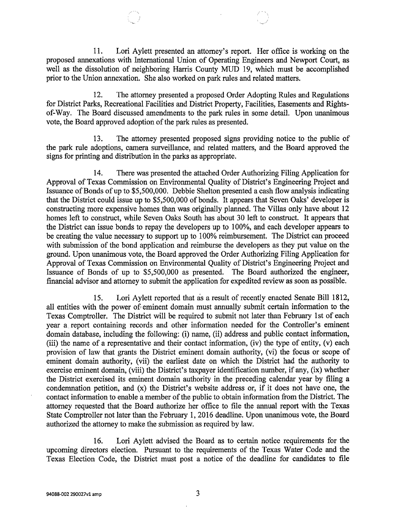11. Lori Aylett presented an attorney's report. Her office is working on the proposed annexations with International Union of Operating Engineers and Newport Court, as well as the dissolution of neighboring Harris County MUD 19, which must be accomplished prior to the Union annexation. She also worked on park rules and related matters.

12. The attorney presented a proposed Order Adopting Rules and Regulations for District Parks, Recreational Facilities and District Property, Facilities, Easements and Rightsof-Way. The Board discussed amendments to the park rules in some detail. Upon unanimous vote, the Board approved adoption of the park rules as presented.

13. The attorney presented proposed signs providing notice to the public of the park rule adoptions, camera surveillance, and related matters, and the Board approved the signs for printing and distribution in the parks as appropriate.

14. There was presented the attached Order Authorizing Filing Application for Approval of Texas Commission on Environmental Quality of District's Engineering Project and Issuance of Bonds of up to \$5,500,000. Debbie Shelton presented a cash flow analysis indicating that the District could issue up to \$5,500,000 of bonds. It appears that Seven Oaks' developer is constructing more expensive homes than was originally planned. The Villas only have about 12 homes left to construct, while Seven Oaks South has about 30 left to construct. It appears that the District can issue bonds to repay the developers up to 100%, and each developer appears to be creating the value necessary to support up to 100% reimbursement. The District can proceed with submission of the bond application and reimburse the developers as they put value on the ground. Upon unanimous vote, the Board approved the Order Authorizing Filing Application for Approval of Texas Commission on Environmental Quality of District's Engineering Project and Issuance of Bonds of up to \$5,500,000 as presented. The Board authorized the engineer, financial advisor and attorney to submit the application for expedited review as soon as possible.

15. Lori Aylett reported that as a result of recently enacted Senate Bill 1812, all entities with the power of eminent domain must annually submit certain information to the Texas Comptroller. The District will be required to submit not later than February 1st of each year a report containing records and other information needed for the Controller's eminent domain database, including the following: (i) name, (ii) address and public contact information, (iii) the name of a representative and their contact information, (iv) the type of entity, (v) each provision of law that grants the District eminent domain authority, (vi) the focus or scope of eminent domain authority, (vii) the earliest date on which the District had the authority to exercise eminent domain, (viii) the District's taxpayer identification number, if any, (ix) whether the District exercised its eminent domain authority in the preceding calendar year by filing a condemnation petition, and (x) the District's website address or, if it does not have one, the contact information to enable a member of the public to obtain information from the District. The attorney requested that the Board authorize her office to file the annual report with the Texas State Comptroller not later than the February 1, 2016 deadline. Upon unanimous vote, the Board authorized the attorney to make the submission as required by law.

16. Lori Aylett advised the Board as to certain notice requirements for the upcoming directors election. Pursuant to the requirements of the Texas Water Code and the Texas Election Code, the District must post a notice of the deadline for candidates to file